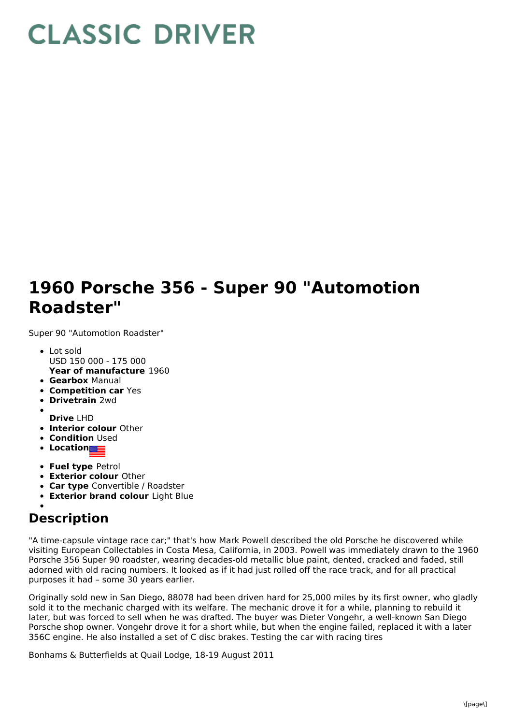## **CLASSIC DRIVER**

## **1960 Porsche 356 - Super 90 "Automotion Roadster"**

Super 90 "Automotion Roadster"

- **Year of manufacture** 1960 Lot sold USD 150 000 - 175 000
- **Gearbox** Manual
- **Competition car** Yes
- **Drivetrain** 2wd
- 
- **Drive** LHD
- **Interior colour** Other **• Condition** Used
- 
- **Location**
- **Fuel type** Petrol
- **Exterior colour** Other
- **Car type** Convertible / Roadster
- **Exterior brand colour** Light Blue

## **Description**

"A time-capsule vintage race car;" that's how Mark Powell described the old Porsche he discovered while visiting European Collectables in Costa Mesa, California, in 2003. Powell was immediately drawn to the 1960 Porsche 356 Super 90 roadster, wearing decades-old metallic blue paint, dented, cracked and faded, still adorned with old racing numbers. It looked as if it had just rolled off the race track, and for all practical purposes it had – some 30 years earlier.

Originally sold new in San Diego, 88078 had been driven hard for 25,000 miles by its first owner, who gladly sold it to the mechanic charged with its welfare. The mechanic drove it for a while, planning to rebuild it later, but was forced to sell when he was drafted. The buyer was Dieter Vongehr, a well-known San Diego Porsche shop owner. Vongehr drove it for a short while, but when the engine failed, replaced it with a later 356C engine. He also installed a set of C disc brakes. Testing the car with racing tires

Bonhams & Butterfields at Quail Lodge, 18-19 August 2011